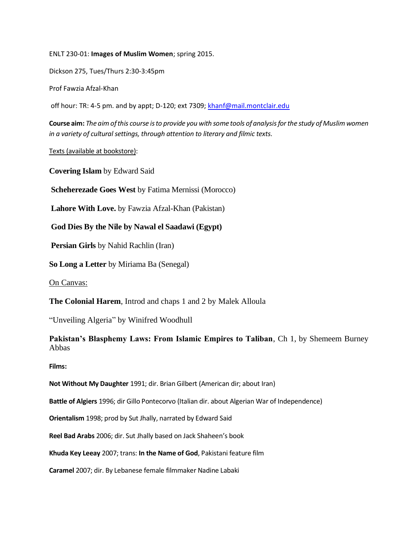ENLT 230-01: **Images of Muslim Women**; spring 2015.

Dickson 275, Tues/Thurs 2:30-3:45pm

Prof Fawzia Afzal-Khan

off hour: TR: 4-5 pm. and by appt; D-120; ext 7309[; khanf@mail.montclair.edu](mailto:khanf@mail.montclair.edu)

**Course aim:** *The aim of this course is to provide you with some tools of analysis for the study of Muslim women in a variety of cultural settings, through attention to literary and filmic texts.*

Texts (available at bookstore):

**Covering Islam** by Edward Said

**Scheherezade Goes West** by Fatima Mernissi (Morocco)

**Lahore With Love.** by Fawzia Afzal-Khan (Pakistan)

**God Dies By the Nile by Nawal el Saadawi (Egypt)**

**Persian Girls** by Nahid Rachlin (Iran)

**So Long a Letter** by Miriama Ba (Senegal)

On Canvas:

**The Colonial Harem**, Introd and chaps 1 and 2 by Malek Alloula

"Unveiling Algeria" by Winifred Woodhull

**Pakistan's Blasphemy Laws: From Islamic Empires to Taliban**, Ch 1, by Shemeem Burney Abbas

**Films:**

**Not Without My Daughter** 1991; dir. Brian Gilbert (American dir; about Iran)

**Battle of Algiers** 1996; dir Gillo Pontecorvo (Italian dir. about Algerian War of Independence)

**Orientalism** 1998; prod by Sut Jhally, narrated by Edward Said

**Reel Bad Arabs** 2006; dir. Sut Jhally based on Jack Shaheen's book

**Khuda Key Leeay** 2007; trans: **In the Name of God**, Pakistani feature film

**Caramel** 2007; dir. By Lebanese female filmmaker Nadine Labaki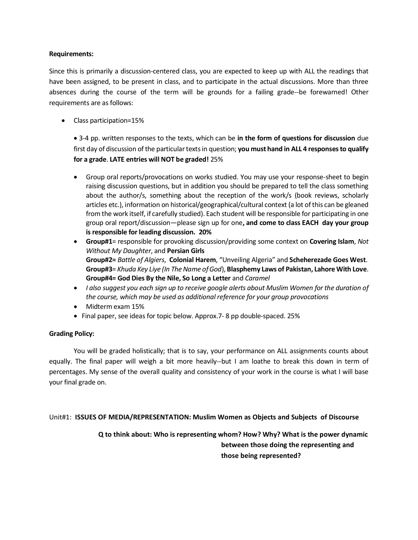### **Requirements:**

Since this is primarily a discussion-centered class, you are expected to keep up with ALL the readings that have been assigned, to be present in class, and to participate in the actual discussions. More than three absences during the course of the term will be grounds for a failing grade--be forewarned! Other requirements are as follows:

• Class participation=15%

• 3-4 pp. written responses to the texts, which can be **in the form of questions for discussion** due first day of discussion of the particular texts in question; **you must hand in ALL 4 responses to qualify for a grade**. **LATE entries will NOT be graded!** 25%

- Group oral reports/provocations on works studied. You may use your response-sheet to begin raising discussion questions, but in addition you should be prepared to tell the class something about the author/s, something about the reception of the work/s (book reviews, scholarly articles etc.), information on historical/geographical/cultural context (a lot of this can be gleaned from the work itself, if carefully studied). Each student will be responsible for participating in one group oral report/discussion—please sign up for one**, and come to class EACH day your group is responsible for leading discussion. 20%**
- **Group#1**= responsible for provoking discussion/providing some context on **Covering Islam**, *Not Without My Daughter*, and **Persian Girls Group#2=** *Battle of Algiers*, **Colonial Harem**, "Unveiling Algeria" and **Scheherezade Goes West**. **Group#3**= *Khuda Key Liye (In The Name of God*), **Blasphemy Laws of Pakistan, Lahore With Love**. **Group#4= God Dies By the Nile, So Long a Letter** and *Caramel*
- *I also suggest you each sign up to receive google alerts about Muslim Women for the duration of the course, which may be used as additional reference for your group provocations*
- Midterm exam 15%
- Final paper, see ideas for topic below. Approx.7- 8 pp double-spaced. 25%

## **Grading Policy:**

You will be graded holistically; that is to say, your performance on ALL assignments counts about equally. The final paper will weigh a bit more heavily--but I am loathe to break this down in term of percentages. My sense of the overall quality and consistency of your work in the course is what I will base your final grade on.

Unit#1: **ISSUES OF MEDIA/REPRESENTATION: Muslim Women as Objects and Subjects of Discourse**

**Q to think about: Who is representing whom? How? Why? What is the power dynamic between those doing the representing and those being represented?**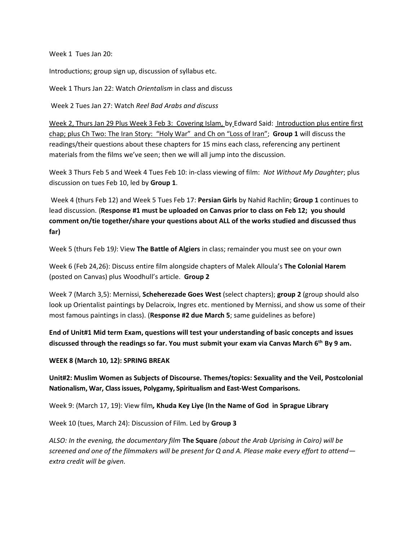Week 1 Tues Jan 20:

Introductions; group sign up, discussion of syllabus etc.

Week 1 Thurs Jan 22: Watch *Orientalism* in class and discuss

Week 2 Tues Jan 27: Watch *Reel Bad Arabs and discuss*

Week 2, Thurs Jan 29 Plus Week 3 Feb 3: Covering Islam, by Edward Said: Introduction plus entire first chap; plus Ch Two: The Iran Story: "Holy War" and Ch on "Loss of Iran"; **Group 1** will discuss the readings/their questions about these chapters for 15 mins each class, referencing any pertinent materials from the films we've seen; then we will all jump into the discussion.

Week 3 Thurs Feb 5 and Week 4 Tues Feb 10: in-class viewing of film: *Not Without My Daughter*; plus discussion on tues Feb 10, led by **Group 1**.

Week 4 (thurs Feb 12) and Week 5 Tues Feb 17: **Persian Girls** by Nahid Rachlin; **Group 1** continues to lead discussion. (**Response #1 must be uploaded on Canvas prior to class on Feb 12; you should comment on/tie together/share your questions about ALL of the works studied and discussed thus far)**

Week 5 (thurs Feb 19*)*: View **The Battle of Algiers** in class; remainder you must see on your own

Week 6 (Feb 24,26): Discuss entire film alongside chapters of Malek Alloula's **The Colonial Harem** (posted on Canvas) plus Woodhull's article. **Group 2**

Week 7 (March 3,5): Mernissi, **Scheherezade Goes West** (select chapters); **group 2** (group should also look up Orientalist paintings by Delacroix, Ingres etc. mentioned by Mernissi, and show us some of their most famous paintings in class). (**Response #2 due March 5**; same guidelines as before)

**End of Unit#1 Mid term Exam, questions will test your understanding of basic concepts and issues discussed through the readings so far. You must submit your exam via Canvas March 6th By 9 am.**

#### **WEEK 8 (March 10, 12): SPRING BREAK**

**Unit#2: Muslim Women as Subjects of Discourse. Themes/topics: Sexuality and the Veil, Postcolonial Nationalism, War, Classissues, Polygamy, Spiritualism and East-West Comparisons.**

Week 9: (March 17, 19): View film*,* **Khuda Key Liye (In the Name of God in Sprague Library**

Week 10 (tues, March 24): Discussion of Film. Led by **Group 3**

*ALSO: In the evening, the documentary film* **The Square** *(about the Arab Uprising in Cairo) will be screened and one of the filmmakers will be present for Q and A. Please make every effort to attend extra credit will be given.*